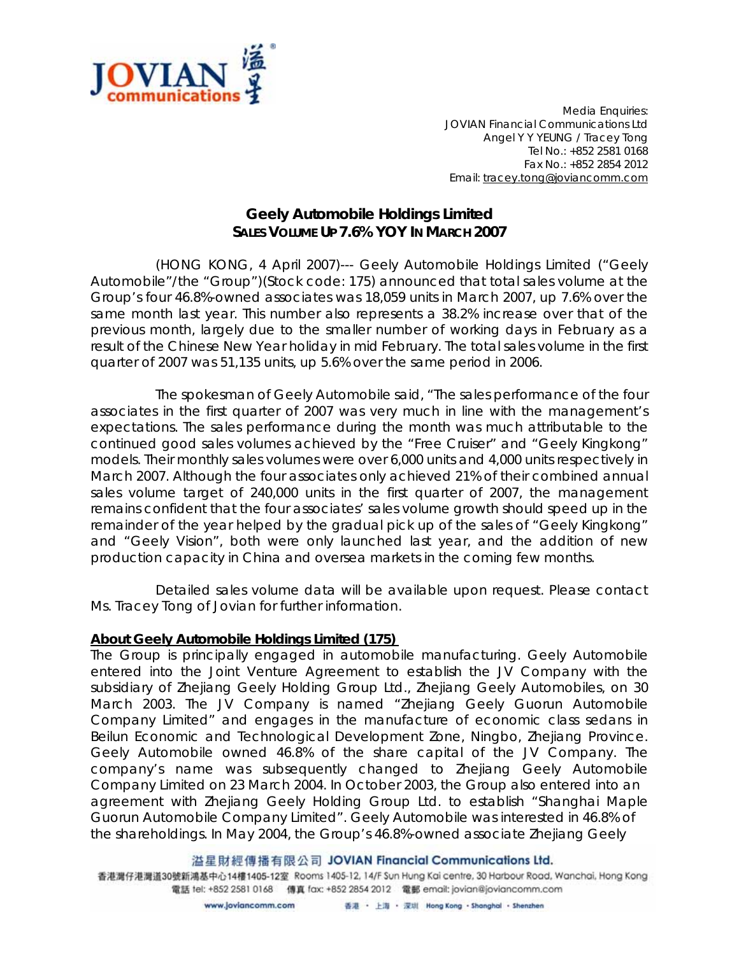

*Media Enquiries: JOVIAN Financial Communications Ltd Angel Y Y YEUNG / Tracey Tong Tel No.: +852 2581 0168 Fax No.: +852 2854 2012 Email: tracey.tong@joviancomm.com*

## **Geely Automobile Holdings Limited SALES VOLUME UP 7.6% YOY IN MARCH 2007**

(HONG KONG, 4 April 2007)--- Geely Automobile Holdings Limited ("Geely Automobile"/the "Group")(Stock code: 175) announced that total sales volume at the Group's four 46.8%-owned associates was 18,059 units in March 2007, up 7.6% over the same month last year. This number also represents a 38.2% increase over that of the previous month, largely due to the smaller number of working days in February as a result of the Chinese New Year holiday in mid February. The total sales volume in the first quarter of 2007 was 51,135 units, up 5.6% over the same period in 2006.

The spokesman of Geely Automobile said, "The sales performance of the four associates in the first quarter of 2007 was very much in line with the management's expectations. The sales performance during the month was much attributable to the continued good sales volumes achieved by the "Free Cruiser" and "Geely Kingkong" models. Their monthly sales volumes were over 6,000 units and 4,000 units respectively in March 2007. Although the four associates only achieved 21% of their combined annual sales volume target of 240,000 units in the first quarter of 2007, the management remains confident that the four associates' sales volume growth should speed up in the remainder of the year helped by the gradual pick up of the sales of "Geely Kingkong" and "Geely Vision", both were only launched last year, and the addition of new production capacity in China and oversea markets in the coming few months.

Detailed sales volume data will be available upon request. Please contact Ms. Tracey Tong of Jovian for further information.

## **About Geely Automobile Holdings Limited (175)**

The Group is principally engaged in automobile manufacturing. Geely Automobile entered into the Joint Venture Agreement to establish the JV Company with the subsidiary of Zhejiang Geely Holding Group Ltd., Zhejiang Geely Automobiles, on 30 March 2003. The JV Company is named "Zhejiang Geely Guorun Automobile Company Limited" and engages in the manufacture of economic class sedans in Beilun Economic and Technological Development Zone, Ningbo, Zhejiang Province. Geely Automobile owned 46.8% of the share capital of the JV Company. The company's name was subsequently changed to Zhejiang Geely Automobile Company Limited on 23 March 2004. In October 2003, the Group also entered into an agreement with Zhejiang Geely Holding Group Ltd. to establish "Shanghai Maple Guorun Automobile Company Limited". Geely Automobile was interested in 46.8% of the shareholdings. In May 2004, the Group's 46.8%-owned associate Zhejiang Geely

溢星財經傳播有限公司 JOVIAN Financial Communications Ltd.

香港灣仔港灣道30號新鴻基中心14樓1405-12室 Rooms 1405-12, 14/F Sun Hung Kai centre, 30 Harbour Road, Wanchai, Hong Kong 電話 tel: +852 2581 0168 傳真 fax: +852 2854 2012 電郵 email: jovian@joviancomm.com